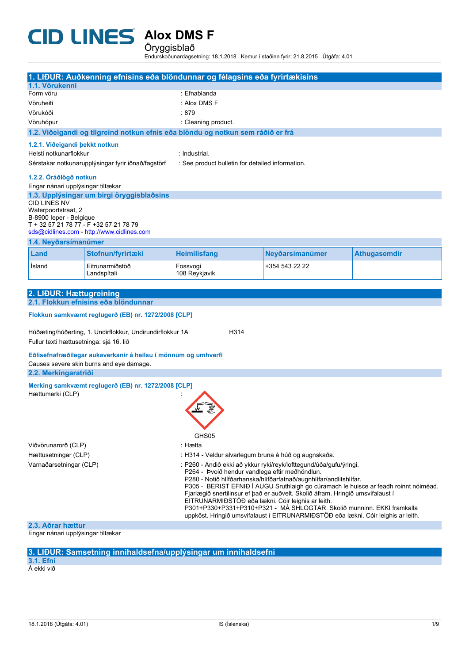## **ALO LINES** Alox DMS F Öryggisblað

Endurskoðunardagsetning: 18.1.2018 Kemur í staðinn fyrir: 21.8.2015 Útgáfa: 4.01

|                                                                                |                                                                | 1. LIĐUR: Auðkenning efnisins eða blöndunnar og félagsins eða fyrirtækisins     |                                                                                                                                                            |                     |
|--------------------------------------------------------------------------------|----------------------------------------------------------------|---------------------------------------------------------------------------------|------------------------------------------------------------------------------------------------------------------------------------------------------------|---------------------|
| 1.1. Vörukenni                                                                 |                                                                |                                                                                 |                                                                                                                                                            |                     |
| Form vöru                                                                      |                                                                | : Efnablanda                                                                    |                                                                                                                                                            |                     |
| Vöruheiti                                                                      |                                                                | : Alox DMS F                                                                    |                                                                                                                                                            |                     |
| Vörukóði                                                                       |                                                                | :879                                                                            |                                                                                                                                                            |                     |
| Vöruhópur                                                                      |                                                                | : Cleaning product.                                                             |                                                                                                                                                            |                     |
|                                                                                |                                                                | 1.2. Viðeigandi og tilgreind notkun efnis eða blöndu og notkun sem ráðið er frá |                                                                                                                                                            |                     |
| 1.2.1. Viðeigandi þekkt notkun                                                 |                                                                |                                                                                 |                                                                                                                                                            |                     |
| Helsti notkunarflokkur                                                         |                                                                | : Industrial.                                                                   |                                                                                                                                                            |                     |
|                                                                                | Sérstakar notkunarupplýsingar fyrir iðnað/fagstörf             |                                                                                 | : See product bulletin for detailed information.                                                                                                           |                     |
| 1.2.2. Óráðlögð notkun                                                         |                                                                |                                                                                 |                                                                                                                                                            |                     |
| Engar nánari upplýsingar tiltækar                                              |                                                                |                                                                                 |                                                                                                                                                            |                     |
|                                                                                | 1.3. Upplýsingar um birgi öryggisblaðsins                      |                                                                                 |                                                                                                                                                            |                     |
| <b>CID LINES NV</b>                                                            |                                                                |                                                                                 |                                                                                                                                                            |                     |
| Waterpoortstraat, 2<br>B-8900 leper - Belgique                                 |                                                                |                                                                                 |                                                                                                                                                            |                     |
| T + 32 57 21 78 77 - F +32 57 21 78 79                                         |                                                                |                                                                                 |                                                                                                                                                            |                     |
|                                                                                | sds@cidlines.com - http://www.cidlines.com                     |                                                                                 |                                                                                                                                                            |                     |
| 1.4. Neyðarsímanúmer                                                           |                                                                |                                                                                 |                                                                                                                                                            |                     |
| Land                                                                           | Stofnun/fyrirtæki                                              | <b>Heimilisfang</b>                                                             | Neyðarsímanúmer                                                                                                                                            | <b>Athugasemdir</b> |
| <b>Island</b>                                                                  | Eitrunarmiðstöð                                                | Fossvogi                                                                        | +354 543 22 22                                                                                                                                             |                     |
|                                                                                | Landspítali                                                    | 108 Reykjavik                                                                   |                                                                                                                                                            |                     |
|                                                                                |                                                                |                                                                                 |                                                                                                                                                            |                     |
| 2. LIĐUR: Hættugreining                                                        | 2.1. Flokkun efnisins eða blöndunnar                           |                                                                                 |                                                                                                                                                            |                     |
|                                                                                |                                                                |                                                                                 |                                                                                                                                                            |                     |
|                                                                                | Flokkun samkvæmt reglugerð (EB) nr. 1272/2008 [CLP]            |                                                                                 |                                                                                                                                                            |                     |
|                                                                                |                                                                | H314                                                                            |                                                                                                                                                            |                     |
|                                                                                | Húðæting/húðerting, 1. Undirflokkur, Undirundirflokkur 1A      |                                                                                 |                                                                                                                                                            |                     |
| Fullur texti hættusetninga: sjá 16. lið                                        |                                                                |                                                                                 |                                                                                                                                                            |                     |
|                                                                                | Eðlisefnafræðilegar aukaverkanir á heilsu í mönnum og umhverfi |                                                                                 |                                                                                                                                                            |                     |
|                                                                                | Causes severe skin burns and eye damage.                       |                                                                                 |                                                                                                                                                            |                     |
| 2.2. Merkingaratriði                                                           |                                                                |                                                                                 |                                                                                                                                                            |                     |
|                                                                                | Merking samkvæmt reglugerð (EB) nr. 1272/2008 [CLP]            |                                                                                 |                                                                                                                                                            |                     |
| Hættumerki (CLP)                                                               |                                                                |                                                                                 |                                                                                                                                                            |                     |
|                                                                                |                                                                |                                                                                 |                                                                                                                                                            |                     |
|                                                                                |                                                                |                                                                                 |                                                                                                                                                            |                     |
|                                                                                |                                                                |                                                                                 |                                                                                                                                                            |                     |
|                                                                                |                                                                |                                                                                 |                                                                                                                                                            |                     |
|                                                                                |                                                                | GHS05                                                                           |                                                                                                                                                            |                     |
| Viðvörunarorð (CLP)<br>: Hætta                                                 |                                                                |                                                                                 |                                                                                                                                                            |                     |
| Hættusetningar (CLP)                                                           |                                                                | : H314 - Veldur alvarlegum bruna á húð og augnskaða.                            |                                                                                                                                                            |                     |
| Varnaðarsetningar (CLP)                                                        |                                                                |                                                                                 | : P260 - Andið ekki að ykkur ryki/reyk/lofttegund/úða/gufu/ýringi.                                                                                         |                     |
|                                                                                |                                                                | P264 - Þvoið hendur vandlega eftir meðhöndlun.                                  | P280 - Notið hlífðarhanska/hlífðarfatnað/augnhlífar/andlitshlífar.                                                                                         |                     |
|                                                                                |                                                                |                                                                                 | P305 - BERIST EFNIÐ Í AUGU Sruthlaigh go cúramach le huisce ar feadh roinnt nóiméad.                                                                       |                     |
| Fjarlægið snertilinsur ef það er auðvelt. Skolið áfram. Hringið umsvifalaust í |                                                                |                                                                                 |                                                                                                                                                            |                     |
|                                                                                |                                                                | EITRUNARMIÐSTÖÐ eða lækni. Cóir leighis ar leith.                               |                                                                                                                                                            |                     |
|                                                                                |                                                                |                                                                                 | P301+P330+P331+P310+P321 - MÁ SHLOGTAR Skolið munninn. EKKI framkalla<br>uppköst. Hringið umsvifalaust í EITRUNARMIÐSTÖÐ eða lækni. Cóir leighis ar leith. |                     |
| 2.3. Aðrar hættur                                                              |                                                                |                                                                                 |                                                                                                                                                            |                     |
|                                                                                |                                                                |                                                                                 |                                                                                                                                                            |                     |

Engar nánari upplýsingar tiltækar

### **3. LIÐUR: Samsetning innihaldsefna/upplýsingar um innihaldsefni**

**3.1. Efni** Á ekki við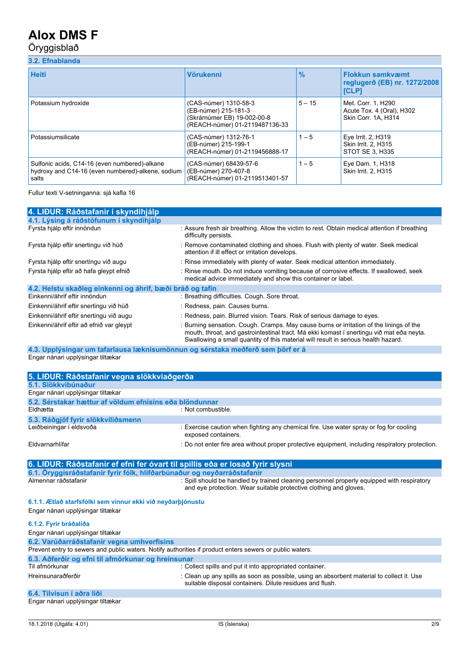### Öryggisblað

### **3.2. Efnablanda**

| <b>Heiti</b>                                                                                                | <b>Vörukenni</b>                                                                                               | $\frac{0}{0}$ | <b>Flokkun samkvæmt</b><br>reglugerð (EB) nr. 1272/2008<br> [CLP]      |
|-------------------------------------------------------------------------------------------------------------|----------------------------------------------------------------------------------------------------------------|---------------|------------------------------------------------------------------------|
| Potassium hydroxide                                                                                         | (CAS-númer) 1310-58-3<br>(EB-númer) 215-181-3<br>(Skrárnúmer EB) 19-002-00-8<br>(REACH-númer) 01-2119487136-33 | $5 - 15$      | Met. Corr. 1, H290<br>Acute Tox. 4 (Oral), H302<br>Skin Corr. 1A, H314 |
| Potassiumsilicate                                                                                           | (CAS-númer) 1312-76-1<br>(EB-númer) 215-199-1<br>(REACH-númer) 01-2119456888-17                                | $1 - 5$       | Eye Irrit. 2, H319<br>Skin Irrit. 2. H315<br>STOT SE 3, H335           |
| Sulfonic acids, C14-16 (even numbered)-alkane<br>hydroxy and C14-16 (even numbered)-alkene, sodium<br>salts | (CAS-númer) 68439-57-6<br>(EB-númer) 270-407-8<br>(REACH-númer) 01-2119513401-57                               | $1 - 5$       | Eye Dam. 1, H318<br>Skin Irrit. 2. H315                                |

Fullur texti V-setninganna: sjá kafla 16

| 4. LIĐUR: Ráðstafanir í skyndihjálp                       |                                                                                                                                                                                                                                                                           |
|-----------------------------------------------------------|---------------------------------------------------------------------------------------------------------------------------------------------------------------------------------------------------------------------------------------------------------------------------|
| 4.1. Lýsing á ráðstöfunum í skyndihjálp                   |                                                                                                                                                                                                                                                                           |
| Fyrsta hjálp eftir innöndun                               | : Assure fresh air breathing. Allow the victim to rest. Obtain medical attention if breathing<br>difficulty persists.                                                                                                                                                     |
| Fyrsta hjálp eftir snertingu við húð                      | : Remove contaminated clothing and shoes. Flush with plenty of water. Seek medical<br>attention if ill effect or irritation develops.                                                                                                                                     |
| Fyrsta hjálp eftir snertingu við augu                     | : Rinse immediately with plenty of water. Seek medical attention immediately.                                                                                                                                                                                             |
| Fyrsta hjálp eftir að hafa gleypt efnið                   | : Rinse mouth. Do not induce vomiting because of corrosive effects. If swallowed, seek<br>medical advice immediately and show this container or label.                                                                                                                    |
| 4.2. Helstu skaðleg einkenni og áhrif, bæði bráð og tafin |                                                                                                                                                                                                                                                                           |
| Einkenni/áhrif eftir innöndun                             | : Breathing difficulties. Cough. Sore throat.                                                                                                                                                                                                                             |
| Einkenni/áhrif eftir snertingu við húð                    | : Redness, pain. Causes burns.                                                                                                                                                                                                                                            |
| Einkenni/áhrif eftir snertingu við augu                   | : Redness, pain. Blurred vision. Tears. Risk of serious damage to eyes.                                                                                                                                                                                                   |
| Einkenni/áhrif eftir að efnið var gleypt                  | : Burning sensation. Cough. Cramps. May cause burns or irritation of the linings of the<br>mouth, throat, and gastrointestinal tract. Má ekki komast í snertingu við mat eða neyta.<br>Swallowing a small quantity of this material will result in serious health hazard. |

**4.3. Upplýsingar um tafarlausa læknisumönnun og sérstaka meðferð sem þörf er á** Engar nánari upplýsingar tiltækar

| 5. LIĐUR: Ráðstafanir vegna slökkviaðgerða              |                                                                                                               |
|---------------------------------------------------------|---------------------------------------------------------------------------------------------------------------|
|                                                         |                                                                                                               |
| 5.1. Slökkvibúnaður                                     |                                                                                                               |
| Engar nánari upplýsingar tiltækar                       |                                                                                                               |
| 5.2. Sérstakar hættur af völdum efnisins eða blöndunnar |                                                                                                               |
| Eldhætta                                                | : Not combustible.                                                                                            |
| 5.3. Ráðgjöf fyrir slökkviliðsmenn                      |                                                                                                               |
| Leiðbeiningar í eldsvoða                                | : Exercise caution when fighting any chemical fire. Use water spray or fog for cooling<br>exposed containers. |
| Eldvarnarhlífar                                         | : Do not enter fire area without proper protective equipment, including respiratory protection.               |

| 6. LIĐUR: Ráðstafanir ef efni fer óvart til spillis eða er losað fyrir slysni                            |                                                                                                                                                                 |
|----------------------------------------------------------------------------------------------------------|-----------------------------------------------------------------------------------------------------------------------------------------------------------------|
| 6.1. Öryggisráðstafanir fyrir fólk, hlífðarbúnaður og neyðarráðstafanir                                  |                                                                                                                                                                 |
| Almennar ráðstafanir                                                                                     | : Spill should be handled by trained cleaning personnel properly equipped with respiratory<br>and eye protection. Wear suitable protective clothing and gloves. |
| 6.1.1. Ætlað starfsfólki sem vinnur ekki við neyðarþjónustu                                              |                                                                                                                                                                 |
| Engar nánari upplýsingar tiltækar                                                                        |                                                                                                                                                                 |
| 6.1.2. Fyrir bráðaliða                                                                                   |                                                                                                                                                                 |
| Engar nánari upplýsingar tiltækar                                                                        |                                                                                                                                                                 |
| 6.2. Varúðarráðstafanir vegna umhverfisins                                                               |                                                                                                                                                                 |
| Prevent entry to sewers and public waters. Notify authorities if product enters sewers or public waters. |                                                                                                                                                                 |
| 6.3. Aðferðir og efni til afmörkunar og hreinsunar                                                       |                                                                                                                                                                 |
| Til afmörkunar                                                                                           | : Collect spills and put it into appropriated container.                                                                                                        |
| Hreinsunaraðferðir                                                                                       | : Clean up any spills as soon as possible, using an absorbent material to collect it. Use<br>suitable disposal containers. Dilute residues and flush.           |
| 6.4. Tilvísun í aðra liði                                                                                |                                                                                                                                                                 |
|                                                                                                          |                                                                                                                                                                 |

Engar nánari upplýsingar tiltækar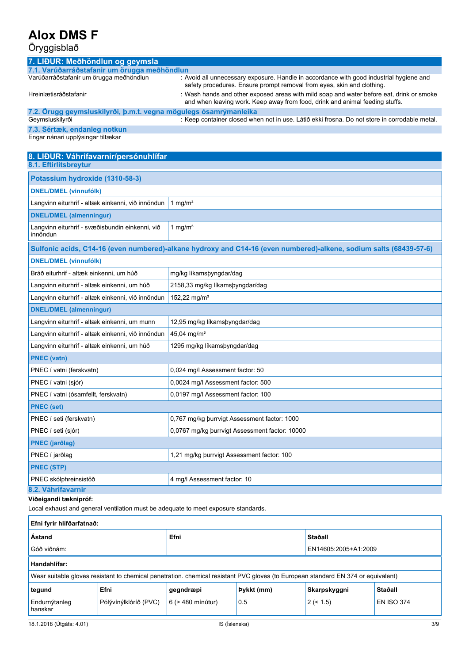Öryggisblað

| 7. LIĐUR: Meðhöndlun og geymsla                                                                             |                                                                                                                                                                   |                                                                                               |  |
|-------------------------------------------------------------------------------------------------------------|-------------------------------------------------------------------------------------------------------------------------------------------------------------------|-----------------------------------------------------------------------------------------------|--|
| 7.1. Varúðarráðstafanir um örugga meðhöndlun                                                                |                                                                                                                                                                   |                                                                                               |  |
| Varúðarráðstafanir um örugga meðhöndlun                                                                     | : Avoid all unnecessary exposure. Handle in accordance with good industrial hygiene and<br>safety procedures. Ensure prompt removal from eyes, skin and clothing. |                                                                                               |  |
| Hreinlætisráðstafanir                                                                                       | and when leaving work. Keep away from food, drink and animal feeding stuffs.                                                                                      | : Wash hands and other exposed areas with mild soap and water before eat, drink or smoke      |  |
| 7.2. Örugg geymsluskilyrði, þ.m.t. vegna mögulegs ósamrýmanleika                                            |                                                                                                                                                                   |                                                                                               |  |
| Geymsluskilyrði                                                                                             |                                                                                                                                                                   | : Keep container closed when not in use. Látið ekki frosna. Do not store in corrodable metal. |  |
|                                                                                                             | 7.3. Sértæk, endanleg notkun                                                                                                                                      |                                                                                               |  |
| Engar nánari upplýsingar tiltækar                                                                           |                                                                                                                                                                   |                                                                                               |  |
| 8. LIĐUR: Váhrifavarnir/persónuhlífar                                                                       |                                                                                                                                                                   |                                                                                               |  |
| 8.1. Eftirlitsbreytur                                                                                       |                                                                                                                                                                   |                                                                                               |  |
| Potassium hydroxide (1310-58-3)                                                                             |                                                                                                                                                                   |                                                                                               |  |
| <b>DNEL/DMEL (vinnufólk)</b>                                                                                |                                                                                                                                                                   |                                                                                               |  |
| Langvinn eiturhrif - altæk einkenni, við innöndun                                                           | 1 mg/m <sup>3</sup>                                                                                                                                               |                                                                                               |  |
| <b>DNEL/DMEL (almenningur)</b>                                                                              |                                                                                                                                                                   |                                                                                               |  |
| Langvinn eiturhrif - svæðisbundin einkenni, við<br>1 mg/ $m3$<br>innöndun                                   |                                                                                                                                                                   |                                                                                               |  |
|                                                                                                             | Sulfonic acids, C14-16 (even numbered)-alkane hydroxy and C14-16 (even numbered)-alkene, sodium salts (68439-57-6)                                                |                                                                                               |  |
| <b>DNEL/DMEL (vinnufólk)</b>                                                                                |                                                                                                                                                                   |                                                                                               |  |
| Bráð eiturhrif - altæk einkenni, um húð                                                                     | mg/kg líkamsbyngdar/dag                                                                                                                                           |                                                                                               |  |
| Langvinn eiturhrif - altæk einkenni, um húð                                                                 | 2158,33 mg/kg líkamsbyngdar/dag                                                                                                                                   |                                                                                               |  |
| Langvinn eiturhrif - altæk einkenni, við innöndun                                                           | 152,22 mg/m <sup>3</sup>                                                                                                                                          |                                                                                               |  |
| <b>DNEL/DMEL (almenningur)</b>                                                                              |                                                                                                                                                                   |                                                                                               |  |
| Langvinn eiturhrif - altæk einkenni, um munn                                                                | 12,95 mg/kg líkamsbyngdar/dag                                                                                                                                     |                                                                                               |  |
| 45,04 mg/m <sup>3</sup><br>Langvinn eiturhrif - altæk einkenni, við innöndun                                |                                                                                                                                                                   |                                                                                               |  |
| Langvinn eiturhrif - altæk einkenni, um húð                                                                 | 1295 mg/kg líkamsbyngdar/dag                                                                                                                                      |                                                                                               |  |
| <b>PNEC</b> (vatn)                                                                                          |                                                                                                                                                                   |                                                                                               |  |
| PNEC í vatni (ferskvatn)                                                                                    | 0,024 mg/l Assessment factor: 50                                                                                                                                  |                                                                                               |  |
| 0,0024 mg/l Assessment factor: 500<br>PNEC í vatni (sjór)                                                   |                                                                                                                                                                   |                                                                                               |  |
| PNEC í vatni (ósamfellt, ferskvatn)                                                                         | 0,0197 mg/l Assessment factor: 100                                                                                                                                |                                                                                               |  |
| <b>PNEC</b> (set)                                                                                           |                                                                                                                                                                   |                                                                                               |  |
| PNEC í seti (ferskvatn)                                                                                     | 0,767 mg/kg burrvigt Assessment factor: 1000                                                                                                                      |                                                                                               |  |
| PNEC í seti (sjór)                                                                                          | 0,0767 mg/kg burrvigt Assessment factor: 10000                                                                                                                    |                                                                                               |  |
| <b>PNEC</b> (jarðlag)                                                                                       |                                                                                                                                                                   |                                                                                               |  |
| PNEC í jarðlag                                                                                              | 1,21 mg/kg burrvigt Assessment factor: 100                                                                                                                        |                                                                                               |  |
| <b>PNEC (STP)</b>                                                                                           |                                                                                                                                                                   |                                                                                               |  |
| PNEC skólphreinsistöð<br>4 mg/l Assessment factor: 10                                                       |                                                                                                                                                                   |                                                                                               |  |
| 8.2. Váhrifavarnir                                                                                          |                                                                                                                                                                   |                                                                                               |  |
| Viðeigandi tæknipróf:<br>Local exhaust and general ventilation must be adequate to meet exposure standards. |                                                                                                                                                                   |                                                                                               |  |
| Efni fyrir hlífðarfatnað:                                                                                   |                                                                                                                                                                   |                                                                                               |  |
| Ástand<br>Staðall<br>Efni                                                                                   |                                                                                                                                                                   |                                                                                               |  |
| Góð viðnám:                                                                                                 |                                                                                                                                                                   | EN14605:2005+A1:2009                                                                          |  |

### **Handahlífar:** Wear suitable gloves resistant to chemical penetration. chemical resistant PVC gloves (to European standard EN 374 or equivalent) **tegund Efni gegndræpi Þykkt (mm) Skarpskyggni Staðall** Endurnýtanleg hanskar Pólývínýlklóríð (PVC) 6 (> 480 mínútur) 0.5 2 (< 1.5) EN ISO 374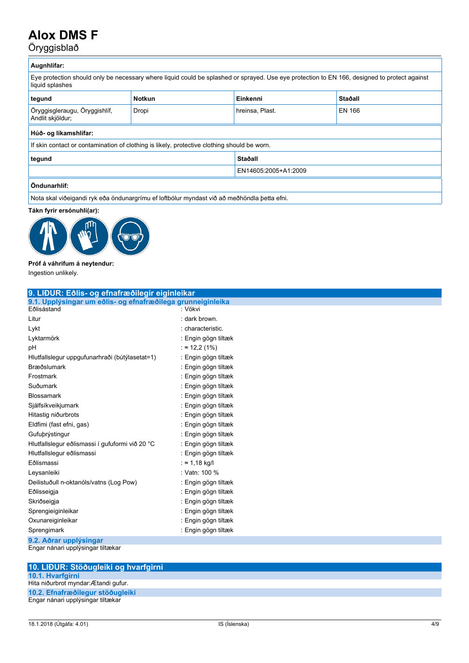Öryggisblað

#### **Augnhlífar:**

Eye protection should only be necessary where liquid could be splashed or sprayed. Use eye protection to EN 166, designed to protect against liquid splashes

| tegund                                                                                      | <b>Notkun</b> | Einkenni        | Staðall |
|---------------------------------------------------------------------------------------------|---------------|-----------------|---------|
| Öryggisgleraugu, Öryggishlíf,<br>Andlit skjöldur;                                           | Dropi         | hreinsa, Plast. | EN 166  |
| Húð- og líkamshlífar:                                                                       |               |                 |         |
| If skin contact or contamination of clothing is likely, protective clothing should be worn. |               |                 |         |
|                                                                                             |               |                 |         |

#### **tegund Staðall**

EN14605:2005+A1:2009

### **Öndunarhlíf:**

 $\big|$ Nota skal viðeigandi ryk eða öndunargrímu ef loftbólur myndast við að meðhöndla þetta efni.

#### **Tákn fyrir ersónuhlí(ar):**



#### **Próf á váhrifum á neytendur:**

Ingestion unlikely.

| 9. LIĐUR: Eðlis- og efnafræðilegir eiginleikar              |                         |  |
|-------------------------------------------------------------|-------------------------|--|
| 9.1. Upplýsingar um eðlis- og efnafræðilega grunneiginleika |                         |  |
| Eðlisástand                                                 | : Vökvi                 |  |
| Litur                                                       | : dark brown.           |  |
| Lykt                                                        | : characteristic.       |  |
| Lyktarmörk                                                  | : Engin gögn tiltæk     |  |
| pH                                                          | $:$ $\approx$ 12,2 (1%) |  |
| Hlutfallslegur uppgufunarhraði (bútýlasetat=1)              | : Engin gögn tiltæk     |  |
| <b>Bræðslumark</b>                                          | : Engin gögn tiltæk     |  |
| Frostmark                                                   | : Engin gögn tiltæk     |  |
| Suðumark                                                    | : Engin gögn tiltæk     |  |
| Blossamark                                                  | : Engin gögn tiltæk     |  |
| Sjálfsíkveikjumark                                          | : Engin gögn tiltæk     |  |
| Hitastig niðurbrots                                         | : Engin gögn tiltæk     |  |
| Eldfimi (fast efni, gas)                                    | : Engin gögn tiltæk     |  |
| Gufubrýstingur                                              | : Engin gögn tiltæk     |  |
| Hlutfallslegur eðlismassi í gufuformi við 20 °C             | : Engin gögn tiltæk     |  |
| Hlutfallslegur eðlismassi                                   | : Engin gögn tiltæk     |  |
| Eðlismassi                                                  | $\approx 1.18$ kg/l     |  |
| Leysanleiki                                                 | : Vatn: 100 %           |  |
| Deilistuðull n-oktanóls/vatns (Log Pow)                     | : Engin gögn tiltæk     |  |
| Eðlisseigja                                                 | : Engin gögn tiltæk     |  |
| Skriðseigja                                                 | : Engin gögn tiltæk     |  |
| Sprengieiginleikar                                          | : Engin gögn tiltæk     |  |
| Oxunareiginleikar                                           | : Engin gögn tiltæk     |  |
| Sprengimark                                                 | : Engin gögn tiltæk     |  |
| 9.2. Aðrar upplýsingar                                      |                         |  |
| Engar nánari upplýsingar tiltækar                           |                         |  |

### **10. LIÐUR: Stöðugleiki og hvarfgirni**

**10.1. Hvarfgirni** Hita niðurbrot myndar:Ætandi gufur. **10.2. Efnafræðilegur stöðugleiki** Engar nánari upplýsingar tiltækar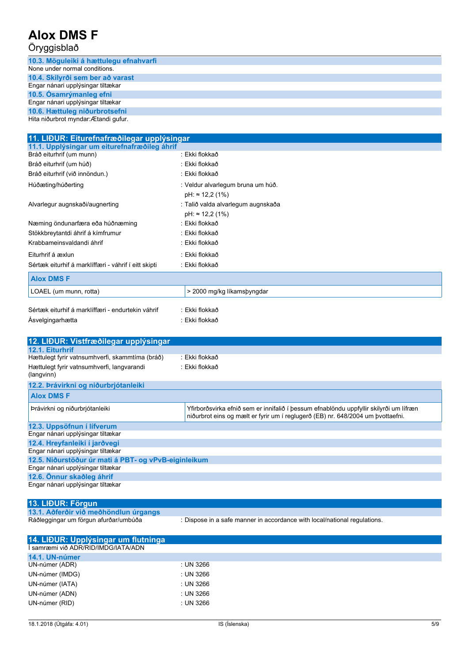Öryggisblað

| 10.3. Möguleiki á hættulegu efnahvarfi |
|----------------------------------------|
| None under normal conditions.          |
| 10.4. Skilyrði sem ber að varast       |
| Engar nánari upplýsingar tiltækar      |
| 10.5. Ósamrýmanleg efni                |
| Engar nánari upplýsingar tiltækar      |
| 10.6. Hættuleg niðurbrotsefni          |
| Hita niðurbrot myndar: Ætandi gufur.   |
|                                        |

| 11. LIĐUR: Eiturefnafræðilegar upplýsingar           |                                    |  |
|------------------------------------------------------|------------------------------------|--|
| 11.1. Upplýsingar um eiturefnafræðileg áhrif         |                                    |  |
| Bráð eiturhrif (um munn)                             | : Ekki flokkað                     |  |
| Bráð eiturhrif (um húð)                              | : Ekki flokkað                     |  |
| Bráð eiturhrif (við innöndun.)                       | : Ekki flokkað                     |  |
| Húðæting/húðerting                                   | : Veldur alvarlegum bruna um húð.  |  |
|                                                      | $pH: \approx 12.2$ (1%)            |  |
| Alvarlegur augnskaði/augnerting                      | : Talið valda alvarlegum augnskaða |  |
|                                                      | $pH: \approx 12.2$ (1%)            |  |
| Næming öndunarfæra eða húðnæming                     | : Ekki flokkað                     |  |
| Stökkbreytantdi áhrif á kímfrumur                    | : Ekki flokkað                     |  |
| Krabbameinsvaldandi áhrif                            | : Ekki flokkað                     |  |
| Eiturhrif á æxlun                                    | : Ekki flokkað                     |  |
| Sértæk eiturhif á marklíffæri - váhrif í eitt skipti | : Ekki flokkað                     |  |
| <b>Alox DMS F</b>                                    |                                    |  |
| LOAEL (um munn, rotta)                               | > 2000 mg/kg líkamsbyngdar         |  |
| Sértæk eiturhif á marklíffæri - endurtekin váhrif    | : Ekki flokkað                     |  |
|                                                      |                                    |  |
| Asvelgingarhætta                                     | : Ekki flokkað                     |  |

| 12. LIĐUR: Vistfræðilegar upplýsingar                    |                                                                                                                                                                           |
|----------------------------------------------------------|---------------------------------------------------------------------------------------------------------------------------------------------------------------------------|
| 12.1. Eiturhrif                                          |                                                                                                                                                                           |
| Hættulegt fyrir vatnsumhverfi, skammtíma (bráð)          | ∶ Ekki flokkað                                                                                                                                                            |
| Hættulegt fyrir vatnsumhverfi, langvarandi<br>(langvinn) | ∶ Ekki flokkað                                                                                                                                                            |
| 12.2. Þrávirkni og niðurbrjótanleiki                     |                                                                                                                                                                           |
| <b>Alox DMS F</b>                                        |                                                                                                                                                                           |
| Þrávirkni og niðurbrjótanleiki                           | Yfirborðsvirka efnið sem er innifalið í þessum efnablöndu uppfyllir skilyrði um lífræn<br>niðurbrot eins og mælt er fyrir um í reglugerð (EB) nr. 648/2004 um þvottaefni. |
| 12.3. Uppsöfnun í lífverum                               |                                                                                                                                                                           |
| Engar nánari upplýsingar tiltækar                        |                                                                                                                                                                           |
| 12.4. Hreyfanleiki í jarðvegi                            |                                                                                                                                                                           |
| Engar nánari upplýsingar tiltækar                        |                                                                                                                                                                           |
| 12.5. Niðurstöður úr mati á PBT- og vPvB-eiginleikum     |                                                                                                                                                                           |
| Engar nánari upplýsingar tiltækar                        |                                                                                                                                                                           |
| 12.6. Önnur skaðleg áhrif                                |                                                                                                                                                                           |
| Engar nánari upplýsingar tiltækar                        |                                                                                                                                                                           |

| 13. LIĐUR: Förgun                     |                                                                           |
|---------------------------------------|---------------------------------------------------------------------------|
| 13.1. Aðferðir við meðhöndlun úrgangs |                                                                           |
| Ráðleggingar um förgun afurðar/umbúða | : Dispose in a safe manner in accordance with local/national regulations. |

| 14. LIDUR: Upplýsingar um flutninga |           |  |
|-------------------------------------|-----------|--|
| Í samræmi við ADR/RID/IMDG/IATA/ADN |           |  |
| 14.1. UN-númer                      |           |  |
| UN-númer (ADR)                      | : UN 3266 |  |
| UN-númer (IMDG)                     | : UN 3266 |  |
| UN-númer (IATA)                     | : UN 3266 |  |
| UN-númer (ADN)                      | : UN 3266 |  |
| UN-númer (RID)                      | : UN 3266 |  |
|                                     |           |  |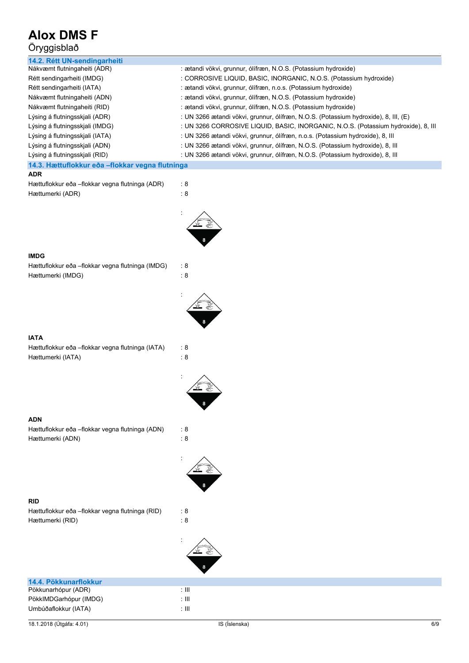## Öryggisblað

| 14.2. Rétt UN-sendingarheiti                      |                                                                                     |
|---------------------------------------------------|-------------------------------------------------------------------------------------|
| Nákvæmt flutningaheiti (ADR)                      | : ætandi vökvi, grunnur, ólífræn, N.O.S. (Potassium hydroxide)                      |
| Rétt sendingarheiti (IMDG)                        | : CORROSIVE LIQUID, BASIC, INORGANIC, N.O.S. (Potassium hydroxide)                  |
| Rétt sendingarheiti (IATA)                        | : ætandi vökvi, grunnur, ólífræn, n.o.s. (Potassium hydroxide)                      |
| Nákvæmt flutningaheiti (ADN)                      | : ætandi vökvi, grunnur, ólífræn, N.O.S. (Potassium hydroxide)                      |
| Nákvæmt flutningaheiti (RID)                      | : ætandi vökvi, grunnur, ólífræn, N.O.S. (Potassium hydroxide)                      |
| Lýsing á flutningsskjali (ADR)                    | : UN 3266 ætandi vökvi, grunnur, ólífræn, N.O.S. (Potassium hydroxide), 8, III, (E) |
| Lýsing á flutningsskjali (IMDG)                   | : UN 3266 CORROSIVE LIQUID, BASIC, INORGANIC, N.O.S. (Potassium hydroxide), 8, III  |
| Lýsing á flutningsskjali (IATA)                   | : UN 3266 ætandi vökvi, grunnur, ólífræn, n.o.s. (Potassium hydroxide), 8, III      |
| Lýsing á flutningsskjali (ADN)                    | : UN 3266 ætandi vökvi, grunnur, ólífræn, N.O.S. (Potassium hydroxide), 8, III      |
| Lýsing á flutningsskjali (RID)                    | : UN 3266 ætandi vökvi, grunnur, ólífræn, N.O.S. (Potassium hydroxide), 8, III      |
| 14.3. Hættuflokkur eða -flokkar vegna flutninga   |                                                                                     |
| <b>ADR</b>                                        |                                                                                     |
| Hættuflokkur eða -flokkar vegna flutninga (ADR)   | $\therefore$ 8                                                                      |
| Hættumerki (ADR)                                  | :8                                                                                  |
|                                                   |                                                                                     |
|                                                   |                                                                                     |
|                                                   |                                                                                     |
|                                                   |                                                                                     |
|                                                   |                                                                                     |
|                                                   |                                                                                     |
| <b>IMDG</b>                                       |                                                                                     |
| Hættuflokkur eða -flokkar vegna flutninga (IMDG)  | $\therefore 8$                                                                      |
| Hættumerki (IMDG)                                 | :8                                                                                  |
|                                                   |                                                                                     |
|                                                   |                                                                                     |
|                                                   |                                                                                     |
|                                                   |                                                                                     |
|                                                   |                                                                                     |
|                                                   |                                                                                     |
| <b>IATA</b>                                       |                                                                                     |
| Hættuflokkur eða - flokkar vegna flutninga (IATA) | $\therefore$ 8                                                                      |
| Hættumerki (IATA)                                 | : $\bf 8$                                                                           |
|                                                   |                                                                                     |
|                                                   |                                                                                     |
|                                                   |                                                                                     |
|                                                   |                                                                                     |
|                                                   |                                                                                     |
|                                                   |                                                                                     |
| ADN                                               |                                                                                     |
| Hættuflokkur eða -flokkar vegna flutninga (ADN)   | $\therefore$ 8                                                                      |
| Hættumerki (ADN)                                  | :8                                                                                  |
|                                                   |                                                                                     |
|                                                   |                                                                                     |
|                                                   |                                                                                     |
|                                                   |                                                                                     |
|                                                   |                                                                                     |
| <b>RID</b>                                        |                                                                                     |
| Hættuflokkur eða -flokkar vegna flutninga (RID)   | :8                                                                                  |
| Hættumerki (RID)                                  | : 8                                                                                 |
|                                                   |                                                                                     |
|                                                   |                                                                                     |
|                                                   |                                                                                     |
|                                                   |                                                                                     |
|                                                   |                                                                                     |
|                                                   |                                                                                     |
| 14.4. Pökkunarflokkur                             |                                                                                     |
| Pökkunarhópur (ADR)                               | $: \mathbb{H}$                                                                      |
| PökkIMDGarhópur (IMDG)                            | $: \mathbb{H}$                                                                      |
| Umbúðaflokkur (IATA)                              | : III                                                                               |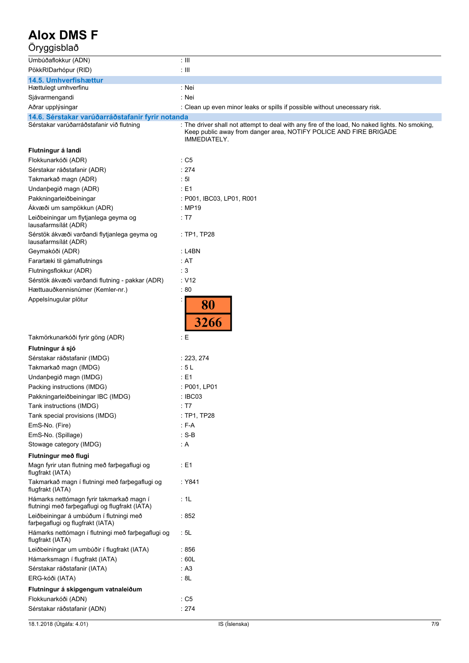## Öryggisblað

| Umbúðaflokkur (ADN)                                                                        | : III                                                                                                                                                                               |
|--------------------------------------------------------------------------------------------|-------------------------------------------------------------------------------------------------------------------------------------------------------------------------------------|
| PökkRIDarhópur (RID)                                                                       | $\pm$ 111                                                                                                                                                                           |
| 14.5. Umhverfishættur                                                                      |                                                                                                                                                                                     |
| Hættulegt umhverfinu                                                                       | : Nei                                                                                                                                                                               |
| Sjávarmengandi                                                                             | : Nei                                                                                                                                                                               |
| Aðrar upplýsingar                                                                          | : Clean up even minor leaks or spills if possible without unecessary risk.                                                                                                          |
| 14.6. Sérstakar varúðarráðstafanir fyrir notanda                                           |                                                                                                                                                                                     |
| Sérstakar varúðarráðstafanir við flutning                                                  | : The driver shall not attempt to deal with any fire of the load, No naked lights. No smoking,<br>Keep public away from danger area, NOTIFY POLICE AND FIRE BRIGADE<br>IMMEDIATELY. |
| Flutningur á landi                                                                         |                                                                                                                                                                                     |
| Flokkunarkóði (ADR)                                                                        | $\cdot$ C5                                                                                                                                                                          |
| Sérstakar ráðstafanir (ADR)                                                                | :274                                                                                                                                                                                |
| Takmarkað magn (ADR)                                                                       | : 51                                                                                                                                                                                |
| Undanbegið magn (ADR)                                                                      | : E1                                                                                                                                                                                |
| Pakkningarleiðbeiningar                                                                    | : P001, IBC03, LP01, R001                                                                                                                                                           |
| Ákvæði um sampökkun (ADR)                                                                  | : MP19                                                                                                                                                                              |
| Leiðbeiningar um flytjanlega geyma og<br>lausafarmsílát (ADR)                              | $\cdot$ T7                                                                                                                                                                          |
| Sérstök ákvæði varðandi flytjanlega geyma og<br>lausafarmsílát (ADR)                       | $:$ TP1, TP28                                                                                                                                                                       |
| Geymakóði (ADR)                                                                            | : L4BN                                                                                                                                                                              |
| Farartæki til gámaflutnings                                                                | : AT                                                                                                                                                                                |
| Flutningsflokkur (ADR)                                                                     | $\therefore$ 3                                                                                                                                                                      |
| Sérstök ákvæði varðandi flutning - pakkar (ADR)                                            | $\therefore$ V12                                                                                                                                                                    |
| Hættuauðkennisnúmer (Kemler-nr.)                                                           | :80                                                                                                                                                                                 |
| Appelsínugular plötur                                                                      | 80<br>3266                                                                                                                                                                          |
| Takmörkunarkóði fyrir göng (ADR)                                                           | $\pm E$                                                                                                                                                                             |
| Flutningur á sjó                                                                           |                                                                                                                                                                                     |
|                                                                                            |                                                                                                                                                                                     |
| Sérstakar ráðstafanir (IMDG)<br>Takmarkað magn (IMDG)                                      | : 223, 274<br>: 5L                                                                                                                                                                  |
| Undanbegið magn (IMDG)                                                                     | : E1                                                                                                                                                                                |
| Packing instructions (IMDG)                                                                | : P001, LP01                                                                                                                                                                        |
| Pakkningarleiðbeiningar IBC (IMDG)                                                         | : IBC03                                                                                                                                                                             |
| Tank instructions (IMDG)                                                                   | $\cdot$ T7                                                                                                                                                                          |
| Tank special provisions (IMDG)                                                             | : TP1, TP28                                                                                                                                                                         |
| EmS-No. (Fire)                                                                             | : F-A                                                                                                                                                                               |
| EmS-No. (Spillage)                                                                         | $: S-B$                                                                                                                                                                             |
| Stowage category (IMDG)                                                                    | : A                                                                                                                                                                                 |
|                                                                                            |                                                                                                                                                                                     |
| Flutningur með flugi<br>Magn fyrir utan flutning með farþegaflugi og                       | : E1                                                                                                                                                                                |
| flugfrakt (IATA)<br>Takmarkað magn í flutningi með farþegaflugi og<br>flugfrakt (IATA)     | : Y841                                                                                                                                                                              |
| Hámarks nettómagn fyrir takmarkað magn í<br>flutningi með farþegaflugi og flugfrakt (IATA) | : 1L                                                                                                                                                                                |
| Leiðbeiningar á umbúðum í flutningi með                                                    | :852                                                                                                                                                                                |
| farþegaflugi og flugfrakt (IATA)<br>Hámarks nettómagn í flutningi með farþegaflugi og      | : 5L                                                                                                                                                                                |
| flugfrakt (IATA)<br>Leiðbeiningar um umbúðir í flugfrakt (IATA)                            | :856                                                                                                                                                                                |
| Hámarksmagn í flugfrakt (IATA)                                                             | :60L                                                                                                                                                                                |
| Sérstakar ráðstafanir (IATA)                                                               | : A3                                                                                                                                                                                |
| ERG-kóði (IATA)                                                                            | : 8L                                                                                                                                                                                |
|                                                                                            |                                                                                                                                                                                     |
| Flutningur á skipgengum vatnaleiðum<br>Flokkunarkóði (ADN)                                 | $\cdot$ C5                                                                                                                                                                          |
| Sérstakar ráðstafanir (ADN)                                                                | : 274                                                                                                                                                                               |
|                                                                                            |                                                                                                                                                                                     |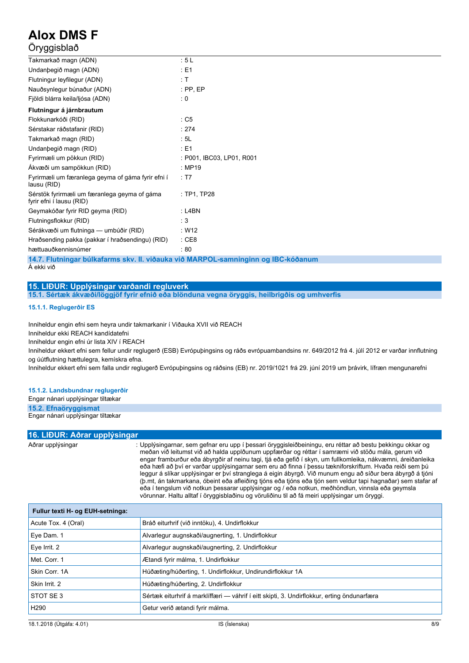### Öryggisblað

| Takmarkað magn (ADN)                                                     | :5L                       |
|--------------------------------------------------------------------------|---------------------------|
| Undanbegið magn (ADN)                                                    | $E = 1$                   |
| Flutningur leyfilegur (ADN)                                              | : T                       |
| Nauðsynlegur búnaður (ADN)                                               | $:$ PP, EP                |
| Fjöldi blárra keila/ljósa (ADN)                                          | : 0                       |
| Flutningur á járnbrautum                                                 |                           |
| Flokkunarkóði (RID)                                                      | : C5                      |
| Sérstakar ráðstafanir (RID)                                              | :274                      |
| Takmarkað magn (RID)                                                     | $\therefore$ 5L           |
| Undanbegið magn (RID)                                                    | $E = 1$                   |
| Fyrirmæli um pökkun (RID)                                                | : P001, IBC03, LP01, R001 |
| Ákvæði um sampökkun (RID)                                                | : MP19                    |
| Fyrirmæli um færanlega geyma of gáma fyrir efni í<br>lausu (RID)         | : T7                      |
| Sérstök fyrirmæli um færanlega geyma of gáma<br>fyrir efni í lausu (RID) | : TP1, TP28               |
| Geymakóðar fyrir RID geyma (RID)                                         | : L4BN                    |
| Flutningsflokkur (RID)                                                   | $\therefore$ 3            |
| Sérákvæði um flutninga — umbúðir (RID)                                   | : W12                     |
| Hraðsending pakka (pakkar í hraðsendingu) (RID)                          | $\therefore$ CE8          |
| hættuauðkennisnúmer                                                      | :80                       |
|                                                                          |                           |

**14.7. Flutningar búlkafarms skv. II. viðauka við MARPOL-samninginn og IBC-kóðanum** Á ekki við

### **15. LIÐUR: Upplýsingar varðandi regluverk**

**15.1. Sértæk ákvæði/löggjöf fyrir efnið eða blönduna vegna öryggis, heilbrigðis og umhverfis**

#### **15.1.1. Reglugerðir ES**

Inniheldur engin efni sem heyra undir takmarkanir í Viðauka XVII við REACH

Inniheldur ekki REACH kandídatefni

Inniheldur engin efni úr lista XIV í REACH

Inniheldur ekkert efni sem fellur undir reglugerð (ESB) Evrópuþingsins og ráðs evrópuambandsins nr. 649/2012 frá 4. júlí 2012 er varðar innflutning og úútflutning hættulegra, kemískra efna.

Inniheldur ekkert efni sem falla undir reglugerð Evrópuþingsins og ráðsins (EB) nr. 2019/1021 frá 29. júní 2019 um þrávirk, lífræn mengunarefni

#### **15.1.2. Landsbundnar reglugerðir**

| Engar nánari upplýsingar tiltækar |  |  |
|-----------------------------------|--|--|
|-----------------------------------|--|--|

**15.2. Efnaöryggismat** Engar nánari upplýsingar tiltækar

| 16. LIĐUR: Aðrar upplýsingar |                                                                                                                                                                                                                                                                                                                                                                                                                                                                                                                                                                                                                                                                                                                                                                                                                                                                       |  |
|------------------------------|-----------------------------------------------------------------------------------------------------------------------------------------------------------------------------------------------------------------------------------------------------------------------------------------------------------------------------------------------------------------------------------------------------------------------------------------------------------------------------------------------------------------------------------------------------------------------------------------------------------------------------------------------------------------------------------------------------------------------------------------------------------------------------------------------------------------------------------------------------------------------|--|
| Aðrar upplýsingar            | : Upplýsingarnar, sem gefnar eru upp í þessari öryggisleiðbeiningu, eru réttar að bestu þekkingu okkar og<br>meðan við leitumst við að halda upplðunum uppfærðar og réttar í samræmi við stöðu mála, gerum við<br>engar framburður eða ábyrgðir af neinu tagi, tjá eða gefið í skyn, um fullkomleika, nákvæmni, áreiðanleika<br>eða hæfi að því er varðar upplýsingarnar sem eru að finna í þessu tækniforskriftum. Hvaða reiði sem þú<br>leggur á slíkar upplýsingar er því stranglega á eigin ábyrgð. Við munum engu að síður bera ábyrgð á tjóni<br>(b.mt, án takmarkana, óbeint eða afleiðing tjóns eða tjóns eða tjón sem veldur tapi hagnaðar) sem stafar af<br>eða í tengslum við notkun þessarar upplýsingar og / eða notkun, meðhöndlun, vinnsla eða geymsla<br>vörunnar. Haltu alltaf í öryggisblaðinu og vöruliðinu til að fá meiri upplýsingar um öryggi. |  |

| Fullur texti H- og EUH-setninga: |                                                                                            |
|----------------------------------|--------------------------------------------------------------------------------------------|
| Acute Tox. 4 (Oral)              | Bráð eiturhrif (við inntöku), 4. Undirflokkur                                              |
| Eye Dam. 1                       | Alvarlegur augnskaði/augnerting, 1. Undirflokkur                                           |
| Eye Irrit. 2                     | Alvarlegur augnskaði/augnerting, 2. Undirflokkur                                           |
| Met. Corr. 1                     | Ætandi fyrir málma, 1. Undirflokkur                                                        |
| Skin Corr. 1A                    | Húðæting/húðerting, 1. Undirflokkur, Undirundirflokkur 1A                                  |
| Skin Irrit. 2                    | Húðæting/húðerting, 2. Undirflokkur                                                        |
| STOT SE3                         | Sértæk eiturhrif á marklíffæri — váhrif í eitt skipti, 3. Undirflokkur, erting öndunarfæra |
| H <sub>290</sub>                 | Getur verið ætandi fyrir málma.                                                            |